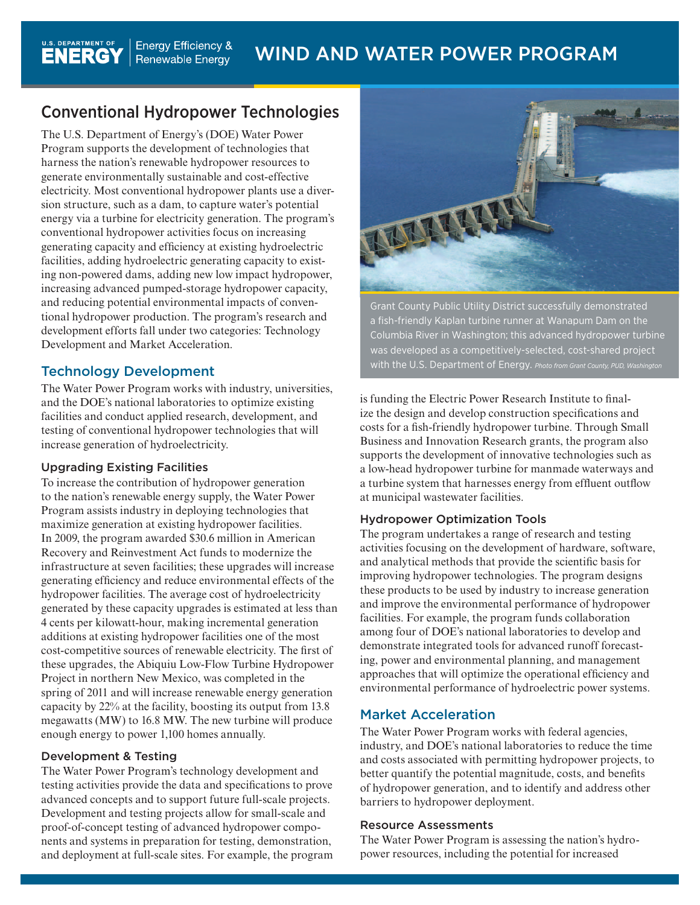# Conventional Hydropower Technologies

The U.S. Department of Energy's (DOE) Water Power Program supports the development of technologies that harness the nation's renewable hydropower resources to generate environmentally sustainable and cost-effective electricity. Most conventional hydropower plants use a diversion structure, such as a dam, to capture water's potential energy via a turbine for electricity generation. The program's conventional hydropower activities focus on increasing generating capacity and efficiency at existing hydroelectric facilities, adding hydroelectric generating capacity to existing non-powered dams, adding new low impact hydropower, increasing advanced pumped-storage hydropower capacity, and reducing potential environmental impacts of conventional hydropower production. The program's research and development efforts fall under two categories: Technology Development and Market Acceleration.

## Technology Development

The Water Power Program works with industry, universities, and the DOE's national laboratories to optimize existing facilities and conduct applied research, development, and testing of conventional hydropower technologies that will increase generation of hydroelectricity.

## Upgrading Existing Facilities

To increase the contribution of hydropower generation to the nation's renewable energy supply, the Water Power Program assists industry in deploying technologies that maximize generation at existing hydropower facilities. In 2009, the program awarded \$30.6 million in American Recovery and Reinvestment Act funds to modernize the infrastructure at seven facilities; these upgrades will increase generating efficiency and reduce environmental effects of the hydropower facilities. The average cost of hydroelectricity generated by these capacity upgrades is estimated at less than 4 cents per kilowatt-hour, making incremental generation additions at existing hydropower facilities one of the most cost-competitive sources of renewable electricity. The first of these upgrades, the Abiquiu Low-Flow Turbine Hydropower Project in northern New Mexico, was completed in the spring of 2011 and will increase renewable energy generation capacity by 22% at the facility, boosting its output from 13.8 megawatts (MW) to 16.8 MW. The new turbine will produce enough energy to power 1,100 homes annually.

## Development & Testing

The Water Power Program's technology development and testing activities provide the data and specifications to prove advanced concepts and to support future full-scale projects. Development and testing projects allow for small-scale and proof-of-concept testing of advanced hydropower components and systems in preparation for testing, demonstration, and deployment at full-scale sites. For example, the program



Grant County Public Utility District successfully demonstrated a fish-friendly Kaplan turbine runner at Wanapum Dam on the Columbia River in Washington; this advanced hydropower turbine was developed as a competitively-selected, cost-shared project with the U.S. Department of Energy. *Photo from Grant County, PUD, Washington*

is funding the Electric Power Research Institute to finalize the design and develop construction specifications and costs for a fish-friendly hydropower turbine. Through Small Business and Innovation Research grants, the program also supports the development of innovative technologies such as a low-head hydropower turbine for manmade waterways and a turbine system that harnesses energy from effluent outflow at municipal wastewater facilities.

## Hydropower Optimization Tools

The program undertakes a range of research and testing activities focusing on the development of hardware, software, and analytical methods that provide the scientific basis for improving hydropower technologies. The program designs these products to be used by industry to increase generation and improve the environmental performance of hydropower facilities. For example, the program funds collaboration among four of DOE's national laboratories to develop and demonstrate integrated tools for advanced runoff forecasting, power and environmental planning, and management approaches that will optimize the operational efficiency and environmental performance of hydroelectric power systems.

## Market Acceleration

The Water Power Program works with federal agencies, industry, and DOE's national laboratories to reduce the time and costs associated with permitting hydropower projects, to better quantify the potential magnitude, costs, and benefits of hydropower generation, and to identify and address other barriers to hydropower deployment.

#### Resource Assessments

The Water Power Program is assessing the nation's hydropower resources, including the potential for increased